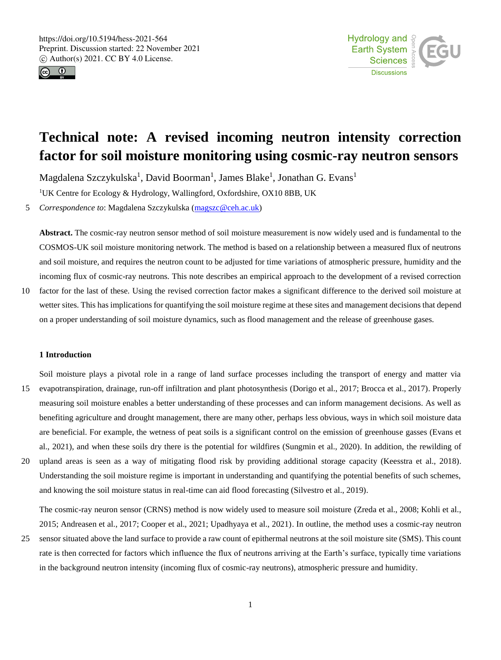



# **Technical note: A revised incoming neutron intensity correction factor for soil moisture monitoring using cosmic-ray neutron sensors**

Magdalena Szczykulska<sup>1</sup>, David Boorman<sup>1</sup>, James Blake<sup>1</sup>, Jonathan G. Evans<sup>1</sup>

<sup>1</sup>UK Centre for Ecology & Hydrology, Wallingford, Oxfordshire, OX10 8BB, UK

5 *Correspondence to*: Magdalena Szczykulska (magszc@ceh.ac.uk)

**Abstract.** The cosmic-ray neutron sensor method of soil moisture measurement is now widely used and is fundamental to the COSMOS-UK soil moisture monitoring network. The method is based on a relationship between a measured flux of neutrons and soil moisture, and requires the neutron count to be adjusted for time variations of atmospheric pressure, humidity and the incoming flux of cosmic-ray neutrons. This note describes an empirical approach to the development of a revised correction

10 factor for the last of these. Using the revised correction factor makes a significant difference to the derived soil moisture at wetter sites. This has implications for quantifying the soil moisture regime at these sites and management decisions that depend on a proper understanding of soil moisture dynamics, such as flood management and the release of greenhouse gases.

#### **1 Introduction**

- Soil moisture plays a pivotal role in a range of land surface processes including the transport of energy and matter via 15 evapotranspiration, drainage, run-off infiltration and plant photosynthesis (Dorigo et al., 2017; Brocca et al., 2017). Properly measuring soil moisture enables a better understanding of these processes and can inform management decisions. As well as benefiting agriculture and drought management, there are many other, perhaps less obvious, ways in which soil moisture data are beneficial. For example, the wetness of peat soils is a significant control on the emission of greenhouse gasses (Evans et al., 2021), and when these soils dry there is the potential for wildfires (Sungmin et al., 2020). In addition, the rewilding of
- 20 upland areas is seen as a way of mitigating flood risk by providing additional storage capacity (Keesstra et al., 2018). Understanding the soil moisture regime is important in understanding and quantifying the potential benefits of such schemes, and knowing the soil moisture status in real-time can aid flood forecasting (Silvestro et al., 2019).

The cosmic-ray neuron sensor (CRNS) method is now widely used to measure soil moisture (Zreda et al., 2008; Kohli et al., 2015; Andreasen et al., 2017; Cooper et al., 2021; Upadhyaya et al., 2021). In outline, the method uses a cosmic-ray neutron

25 sensor situated above the land surface to provide a raw count of epithermal neutrons at the soil moisture site (SMS). This count rate is then corrected for factors which influence the flux of neutrons arriving at the Earth's surface, typically time variations in the background neutron intensity (incoming flux of cosmic-ray neutrons), atmospheric pressure and humidity.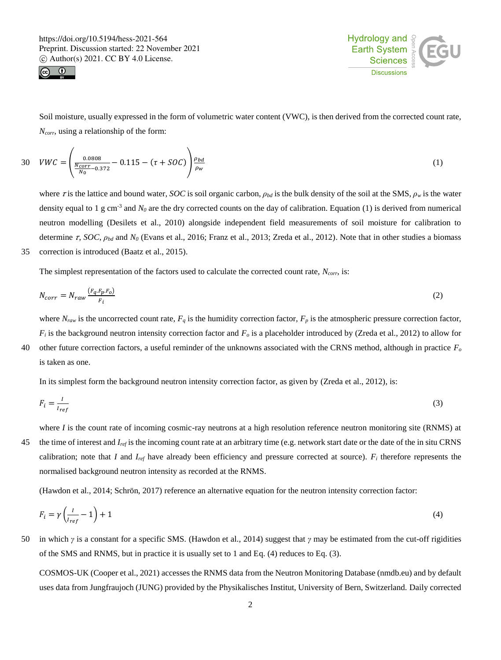



Soil moisture, usually expressed in the form of volumetric water content (VWC), is then derived from the corrected count rate, *Ncorr*, using a relationship of the form:

$$
30 \quad WWC = \left(\frac{0.0808}{\frac{N_{corr}}{N_0} - 0.372} - 0.115 - (\tau + SOC)\right) \frac{\rho_{bd}}{\rho_w} \tag{1}
$$

where  $\tau$  is the lattice and bound water, *SOC* is soil organic carbon,  $\rho_{bd}$  is the bulk density of the soil at the SMS,  $\rho_w$  is the water density equal to 1 g cm<sup>-3</sup> and  $N_0$  are the dry corrected counts on the day of calibration. Equation (1) is derived from numerical neutron modelling (Desilets et al., 2010) alongside independent field measurements of soil moisture for calibration to determine τ, *SOC*,  $ρ_{bd}$  and  $N_0$  (Evans et al., 2016; Franz et al., 2013; Zreda et al., 2012). Note that in other studies a biomass 35 correction is introduced (Baatz et al., 2015).

The simplest representation of the factors used to calculate the corrected count rate, *Ncorr*, is:

$$
N_{corr} = N_{raw} \frac{(F_q.F_p.F_o)}{F_i} \tag{2}
$$

where  $N_{raw}$  is the uncorrected count rate,  $F_q$  is the humidity correction factor,  $F_p$  is the atmospheric pressure correction factor,  $F_i$  is the background neutron intensity correction factor and  $F_o$  is a placeholder introduced by (Zreda et al., 2012) to allow for 40 other future correction factors, a useful reminder of the unknowns associated with the CRNS method, although in practice *F<sup>o</sup>* is taken as one.

In its simplest form the background neutron intensity correction factor, as given by (Zreda et al., 2012), is:

$$
F_i = \frac{I}{I_{ref}}\tag{3}
$$

where *I* is the count rate of incoming cosmic-ray neutrons at a high resolution reference neutron monitoring site (RNMS) at 45 the time of interest and *Iref* is the incoming count rate at an arbitrary time (e.g. network start date or the date of the in situ CRNS calibration; note that *I* and *Iref* have already been efficiency and pressure corrected at source). *F<sup>i</sup>* therefore represents the normalised background neutron intensity as recorded at the RNMS.

(Hawdon et al., 2014; Schrön, 2017) reference an alternative equation for the neutron intensity correction factor:

$$
F_i = \gamma \left( \frac{l}{I_{ref}} - 1 \right) + 1 \tag{4}
$$

50 in which *γ* is a constant for a specific SMS. (Hawdon et al., 2014) suggest that *γ* may be estimated from the cut-off rigidities of the SMS and RNMS, but in practice it is usually set to 1 and Eq. (4) reduces to Eq. (3).

COSMOS-UK (Cooper et al., 2021) accesses the RNMS data from the Neutron Monitoring Database (nmdb.eu) and by default uses data from Jungfraujoch (JUNG) provided by the Physikalisches Institut, University of Bern, Switzerland. Daily corrected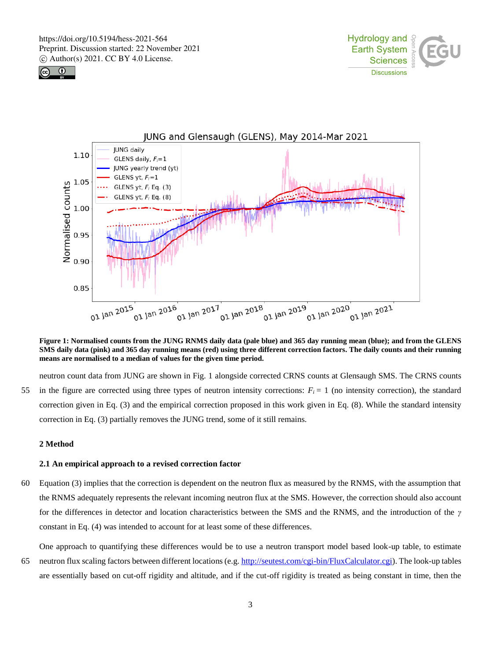





**Figure 1: Normalised counts from the JUNG RNMS daily data (pale blue) and 365 day running mean (blue); and from the GLENS SMS daily data (pink) and 365 day running means (red) using three different correction factors. The daily counts and their running means are normalised to a median of values for the given time period.**

neutron count data from JUNG are shown in Fig. 1 alongside corrected CRNS counts at Glensaugh SMS. The CRNS counts 55 in the figure are corrected using three types of neutron intensity corrections:  $F_i = 1$  (no intensity correction), the standard correction given in Eq. (3) and the empirical correction proposed in this work given in Eq. (8). While the standard intensity correction in Eq. (3) partially removes the JUNG trend, some of it still remains.

# **2 Method**

#### **2.1 An empirical approach to a revised correction factor**

60 Equation (3) implies that the correction is dependent on the neutron flux as measured by the RNMS, with the assumption that the RNMS adequately represents the relevant incoming neutron flux at the SMS. However, the correction should also account for the differences in detector and location characteristics between the SMS and the RNMS, and the introduction of the *γ* constant in Eq. (4) was intended to account for at least some of these differences.

One approach to quantifying these differences would be to use a neutron transport model based look-up table, to estimate 65 neutron flux scaling factors between different locations (e.g. http://seutest.com/cgi-bin/FluxCalculator.cgi). The look-up tables are essentially based on cut-off rigidity and altitude, and if the cut-off rigidity is treated as being constant in time, then the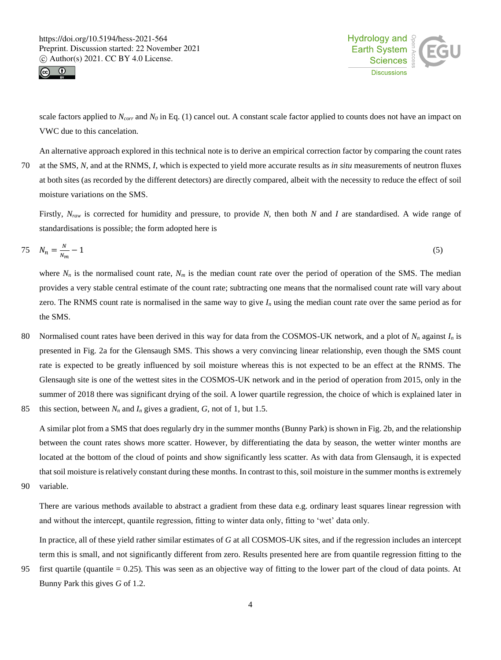



scale factors applied to *Ncorr* and *N<sup>0</sup>* in Eq. (1) cancel out. A constant scale factor applied to counts does not have an impact on VWC due to this cancelation.

An alternative approach explored in this technical note is to derive an empirical correction factor by comparing the count rates 70 at the SMS, *N,* and at the RNMS, *I*, which is expected to yield more accurate results as *in situ* measurements of neutron fluxes at both sites (as recorded by the different detectors) are directly compared, albeit with the necessity to reduce the effect of soil moisture variations on the SMS.

Firstly, *Nraw* is corrected for humidity and pressure, to provide *N*, then both *N* and *I* are standardised. A wide range of standardisations is possible; the form adopted here is

$$
75 \quad N_n = \frac{N}{N_m} - 1 \tag{5}
$$

where  $N_n$  is the normalised count rate,  $N_m$  is the median count rate over the period of operation of the SMS. The median provides a very stable central estimate of the count rate; subtracting one means that the normalised count rate will vary about zero. The RNMS count rate is normalised in the same way to give  $I_n$  using the median count rate over the same period as for the SMS.

- 80 Normalised count rates have been derived in this way for data from the COSMOS-UK network, and a plot of *N<sup>n</sup>* against *I<sup>n</sup>* is presented in Fig. 2a for the Glensaugh SMS. This shows a very convincing linear relationship, even though the SMS count rate is expected to be greatly influenced by soil moisture whereas this is not expected to be an effect at the RNMS. The Glensaugh site is one of the wettest sites in the COSMOS-UK network and in the period of operation from 2015, only in the summer of 2018 there was significant drying of the soil. A lower quartile regression, the choice of which is explained later in
- 85 this section, between  $N_n$  and  $I_n$  gives a gradient,  $G$ , not of 1, but 1.5.

A similar plot from a SMS that does regularly dry in the summer months (Bunny Park) is shown in Fig. 2b, and the relationship between the count rates shows more scatter. However, by differentiating the data by season, the wetter winter months are located at the bottom of the cloud of points and show significantly less scatter. As with data from Glensaugh, it is expected that soil moisture is relatively constant during these months. In contrast to this, soil moisture in the summer months is extremely

90 variable.

There are various methods available to abstract a gradient from these data e.g. ordinary least squares linear regression with and without the intercept, quantile regression, fitting to winter data only, fitting to 'wet' data only.

In practice, all of these yield rather similar estimates of *G* at all COSMOS-UK sites, and if the regression includes an intercept term this is small, and not significantly different from zero. Results presented here are from quantile regression fitting to the

95 first quartile (quantile  $= 0.25$ ). This was seen as an objective way of fitting to the lower part of the cloud of data points. At Bunny Park this gives *G* of 1.2.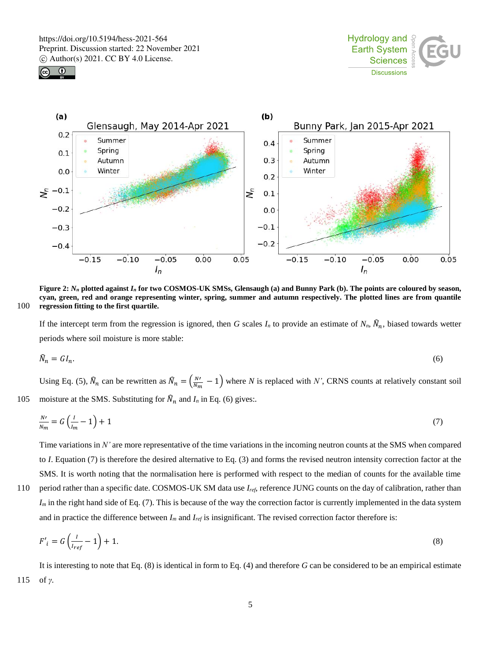





**Figure 2:**  $N_n$  plotted against  $I_n$  for two COSMOS-UK SMSs, Glensaugh (a) and Bunny Park (b). The points are coloured by season, **cyan, green, red and orange representing winter, spring, summer and autumn respectively. The plotted lines are from quantile**  100 **regression fitting to the first quartile.**

If the intercept term from the regression is ignored, then *G* scales  $I_n$  to provide an estimate of  $N_n$ ,  $\hat{N}_n$ , biased towards wetter periods where soil moisture is more stable:

$$
\hat{N}_n = G I_n. \tag{6}
$$

Using Eq. (5),  $\widehat{N}_n$  can be rewritten as  $\widehat{N}_n = \left(\frac{N'}{N_m} - 1\right)$  where *N* is replaced with *N'*, CRNS counts at relatively constant soil 105 moisture at the SMS. Substituting for  $\hat{N}_n$  and  $I_n$  in Eq. (6) gives:.

$$
\frac{N'}{N_m} = G\left(\frac{l}{l_m} - 1\right) + 1\tag{7}
$$

Time variations in *N'* are more representative of the time variations in the incoming neutron counts at the SMS when compared to *I*. Equation (7) is therefore the desired alternative to Eq. (3) and forms the revised neutron intensity correction factor at the SMS. It is worth noting that the normalisation here is performed with respect to the median of counts for the available time 110 period rather than a specific date. COSMOS-UK SM data use *Iref*, reference JUNG counts on the day of calibration, rather than *I*<sub>*m*</sub> in the right hand side of Eq. (7). This is because of the way the correction factor is currently implemented in the data system

and in practice the difference between 
$$
I_m
$$
 and  $I_{ref}$  is insignificant. The revised correction factor therefore is:

$$
F'_{i} = G\left(\frac{l}{I_{ref}} - 1\right) + 1. \tag{8}
$$

It is interesting to note that Eq. (8) is identical in form to Eq. (4) and therefore *G* can be considered to be an empirical estimate 115 of *γ*.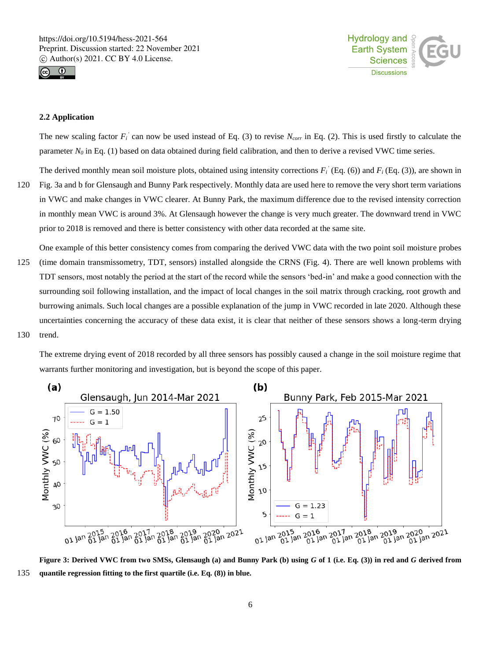



#### **2.2 Application**

The new scaling factor  $F_i$  can now be used instead of Eq. (3) to revise  $N_{corr}$  in Eq. (2). This is used firstly to calculate the parameter  $N<sub>0</sub>$  in Eq. (1) based on data obtained during field calibration, and then to derive a revised VWC time series.

The derived monthly mean soil moisture plots, obtained using intensity corrections  $F_i$ <sup>'</sup> (Eq. (6)) and  $F_i$  (Eq. (3)), are shown in

- 120 Fig. 3a and b for Glensaugh and Bunny Park respectively. Monthly data are used here to remove the very short term variations in VWC and make changes in VWC clearer. At Bunny Park, the maximum difference due to the revised intensity correction in monthly mean VWC is around 3%. At Glensaugh however the change is very much greater. The downward trend in VWC prior to 2018 is removed and there is better consistency with other data recorded at the same site.
- One example of this better consistency comes from comparing the derived VWC data with the two point soil moisture probes 125 (time domain transmissometry, TDT, sensors) installed alongside the CRNS (Fig. 4). There are well known problems with TDT sensors, most notably the period at the start of the record while the sensors 'bed-in' and make a good connection with the surrounding soil following installation, and the impact of local changes in the soil matrix through cracking, root growth and burrowing animals. Such local changes are a possible explanation of the jump in VWC recorded in late 2020. Although these uncertainties concerning the accuracy of these data exist, it is clear that neither of these sensors shows a long-term drying 130 trend.

The extreme drying event of 2018 recorded by all three sensors has possibly caused a change in the soil moisture regime that warrants further monitoring and investigation, but is beyond the scope of this paper.



**Figure 3: Derived VWC from two SMSs, Glensaugh (a) and Bunny Park (b) using** *G* **of 1 (i.e. Eq. (3)) in red and** *G* **derived from**  135 **quantile regression fitting to the first quartile (i.e. Eq. (8)) in blue.**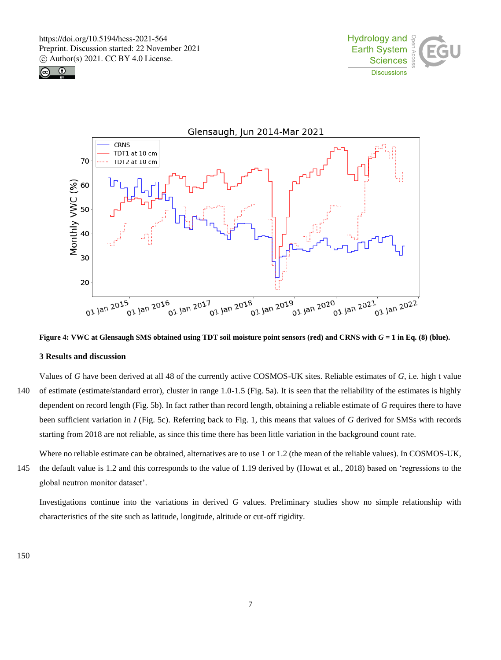





**Figure 4: VWC at Glensaugh SMS obtained using TDT soil moisture point sensors (red) and CRNS with** *G* **= 1 in Eq. (8) (blue).**

#### **3 Results and discussion**

Values of *G* have been derived at all 48 of the currently active COSMOS-UK sites. Reliable estimates of *G*, i.e. high t value 140 of estimate (estimate/standard error), cluster in range 1.0-1.5 (Fig. 5a). It is seen that the reliability of the estimates is highly dependent on record length (Fig. 5b). In fact rather than record length, obtaining a reliable estimate of *G* requires there to have been sufficient variation in *I* (Fig. 5c). Referring back to Fig. 1, this means that values of *G* derived for SMSs with records starting from 2018 are not reliable, as since this time there has been little variation in the background count rate.

Where no reliable estimate can be obtained, alternatives are to use 1 or 1.2 (the mean of the reliable values). In COSMOS-UK, 145 the default value is 1.2 and this corresponds to the value of 1.19 derived by (Howat et al., 2018) based on 'regressions to the global neutron monitor dataset'.

Investigations continue into the variations in derived *G* values. Preliminary studies show no simple relationship with characteristics of the site such as latitude, longitude, altitude or cut-off rigidity.

150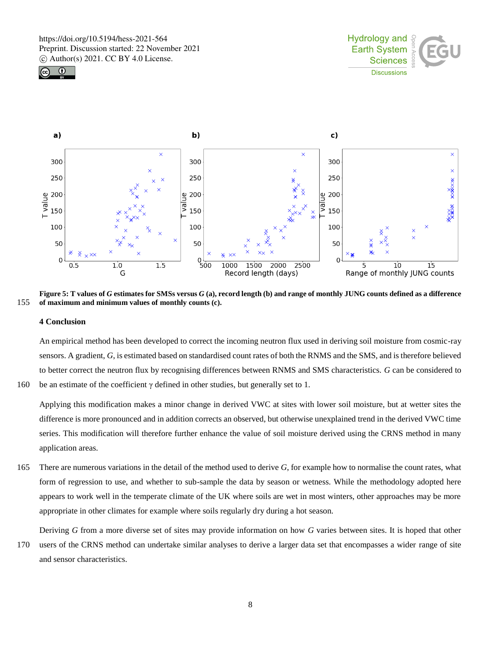





**Figure 5: T values of** *G* **estimates for SMSs versus** *G* **(a), record length (b) and range of monthly JUNG counts defined as a difference**  155 **of maximum and minimum values of monthly counts (c).**

#### **4 Conclusion**

An empirical method has been developed to correct the incoming neutron flux used in deriving soil moisture from cosmic-ray sensors. A gradient, *G*, is estimated based on standardised count rates of both the RNMS and the SMS, and is therefore believed to better correct the neutron flux by recognising differences between RNMS and SMS characteristics. *G* can be considered to 160 be an estimate of the coefficient  $\gamma$  defined in other studies, but generally set to 1.

Applying this modification makes a minor change in derived VWC at sites with lower soil moisture, but at wetter sites the difference is more pronounced and in addition corrects an observed, but otherwise unexplained trend in the derived VWC time series. This modification will therefore further enhance the value of soil moisture derived using the CRNS method in many application areas.

165 There are numerous variations in the detail of the method used to derive *G*, for example how to normalise the count rates, what form of regression to use, and whether to sub-sample the data by season or wetness. While the methodology adopted here appears to work well in the temperate climate of the UK where soils are wet in most winters, other approaches may be more appropriate in other climates for example where soils regularly dry during a hot season.

Deriving *G* from a more diverse set of sites may provide information on how *G* varies between sites. It is hoped that other

170 users of the CRNS method can undertake similar analyses to derive a larger data set that encompasses a wider range of site and sensor characteristics.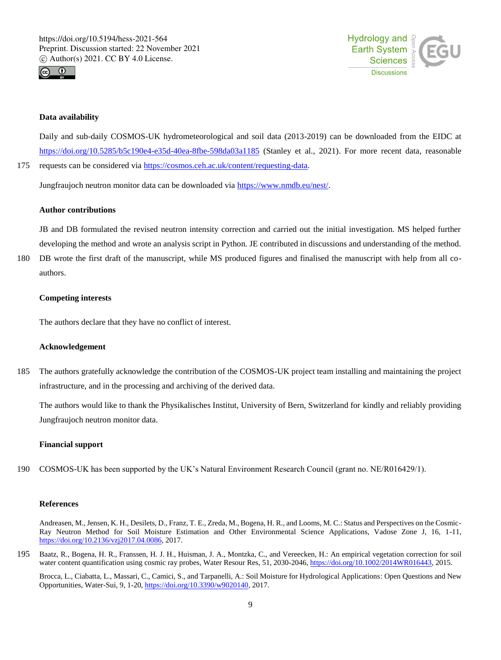



### **Data availability**

Daily and sub-daily COSMOS-UK hydrometeorological and soil data (2013-2019) can be downloaded from the EIDC at https://doi.org/10.5285/b5c190e4-e35d-40ea-8fbe-598da03a1185 (Stanley et al., 2021). For more recent data, reasonable 175 requests can be considered via https://cosmos.ceh.ac.uk/content/requesting-data.

Jungfraujoch neutron monitor data can be downloaded via https://www.nmdb.eu/nest/.

#### **Author contributions**

JB and DB formulated the revised neutron intensity correction and carried out the initial investigation. MS helped further developing the method and wrote an analysis script in Python. JE contributed in discussions and understanding of the method.

180 DB wrote the first draft of the manuscript, while MS produced figures and finalised the manuscript with help from all coauthors.

## **Competing interests**

The authors declare that they have no conflict of interest.

#### **Acknowledgement**

185 The authors gratefully acknowledge the contribution of the COSMOS-UK project team installing and maintaining the project infrastructure, and in the processing and archiving of the derived data.

The authors would like to thank the Physikalisches Institut, University of Bern, Switzerland for kindly and reliably providing Jungfraujoch neutron monitor data.

### **Financial support**

190 COSMOS-UK has been supported by the UK's Natural Environment Research Council (grant no. NE/R016429/1).

# **References**

Andreasen, M., Jensen, K. H., Desilets, D., Franz, T. E., Zreda, M., Bogena, H. R., and Looms, M. C.: Status and Perspectives on the Cosmic-Ray Neutron Method for Soil Moisture Estimation and Other Environmental Science Applications, Vadose Zone J, 16, 1-11, https://doi.org/10.2136/vzj2017.04.0086, 2017.

195 Baatz, R., Bogena, H. R., Franssen, H. J. H., Huisman, J. A., Montzka, C., and Vereecken, H.: An empirical vegetation correction for soil water content quantification using cosmic ray probes, Water Resour Res, 51, 2030-2046, https://doi.org/10.1002/2014WR016443, 2015.

Brocca, L., Ciabatta, L., Massari, C., Camici, S., and Tarpanelli, A.: Soil Moisture for Hydrological Applications: Open Questions and New Opportunities, Water-Sui, 9, 1-20, https://doi.org/10.3390/w9020140, 2017.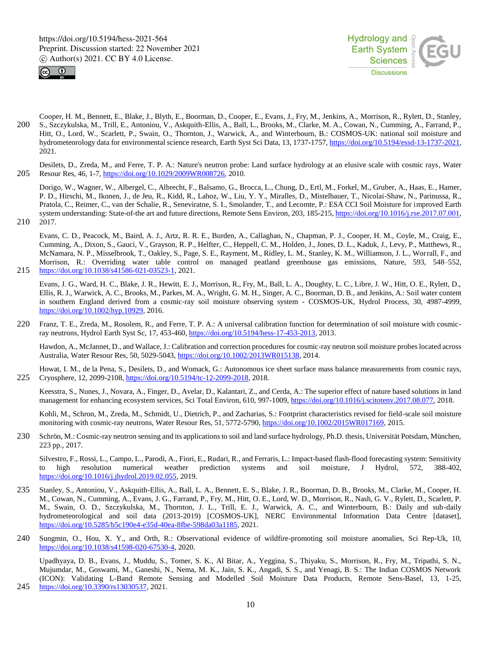



- Cooper, H. M., Bennett, E., Blake, J., Blyth, E., Boorman, D., Cooper, E., Evans, J., Fry, M., Jenkins, A., Morrison, R., Rylett, D., Stanley, 200 S., Szczykulska, M., Trill, E., Antoniou, V., Askquith-Ellis, A., Ball, L., Brooks, M., Clarke, M. A., Cowan, N., Cumming, A., Farrand, P., Hitt, O., Lord, W., Scarlett, P., Swain, O., Thornton, J., Warwick, A., and Winterbourn, B.: COSMOS-UK: national soil moisture and hydrometeorology data for environmental science research, Earth Syst Sci Data, 13, 1737-1757, https://doi.org/10.5194/essd-13-1737-2021, 2021.
- Desilets, D., Zreda, M., and Ferre, T. P. A.: Nature's neutron probe: Land surface hydrology at an elusive scale with cosmic rays, Water 205 Resour Res, 46, 1-7, https://doi.org/10.1029/2009WR008726, 2010.

Dorigo, W., Wagner, W., Albergel, C., Albrecht, F., Balsamo, G., Brocca, L., Chung, D., Ertl, M., Forkel, M., Gruber, A., Haas, E., Hamer, P. D., Hirschi, M., Ikonen, J., de Jeu, R., Kidd, R., Lahoz, W., Liu, Y. Y., Miralles, D., Mistelbauer, T., Nicolai-Shaw, N., Parinussa, R., Pratola, C., Reimer, C., van der Schalie, R., Seneviratne, S. I., Smolander, T., and Lecomte, P.: ESA CCI Soil Moisture for improved Earth system understanding: State-of-the art and future directions, Remote Sens Environ, 203, 185-215, https://doi.org/10.1016/j.rse.2017.07.001,

210 2017.

Evans, C. D., Peacock, M., Baird, A. J., Artz, R. R. E., Burden, A., Callaghan, N., Chapman, P. J., Cooper, H. M., Coyle, M., Craig, E., Cumming, A., Dixon, S., Gauci, V., Grayson, R. P., Helfter, C., Heppell, C. M., Holden, J., Jones, D. L., Kaduk, J., Levy, P., Matthews, R., McNamara, N. P., Misselbrook, T., Oakley, S., Page, S. E., Rayment, M., Ridley, L. M., Stanley, K. M., Williamson, J. L., Worrall, F., and Morrison, R.: Overriding water table control on managed peatland greenhouse gas emissions, Nature, 593, 548–552, 215 https://doi.org/10.1038/s41586-021-03523-1, 2021.

Evans, J. G., Ward, H. C., Blake, J. R., Hewitt, E. J., Morrison, R., Fry, M., Ball, L. A., Doughty, L. C., Libre, J. W., Hitt, O. E., Rylett, D., Ellis, R. J., Warwick, A. C., Brooks, M., Parkes, M. A., Wright, G. M. H., Singer, A. C., Boorman, D. B., and Jenkins, A.: Soil water content in southern England derived from a cosmic-ray soil moisture observing system - COSMOS-UK, Hydrol Process, 30, 4987-4999, https://doi.org/10.1002/hyp.10929, 2016.

220 Franz, T. E., Zreda, M., Rosolem, R., and Ferre, T. P. A.: A universal calibration function for determination of soil moisture with cosmicray neutrons, Hydrol Earth Syst Sc, 17, 453-460, https://doi.org/10.5194/hess-17-453-2013, 2013.

Hawdon, A., McJannet, D., and Wallace, J.: Calibration and correction procedures for cosmic-ray neutron soil moisture probes located across Australia, Water Resour Res, 50, 5029-5043, https://doi.org/10.1002/2013WR015138, 2014.

Howat, I. M., de la Pena, S., Desilets, D., and Womack, G.: Autonomous ice sheet surface mass balance measurements from cosmic rays, 225 Cryosphere, 12, 2099-2108, https://doi.org/10.5194/tc-12-2099-2018, 2018.

Keesstra, S., Nunes, J., Novara, A., Finger, D., Avelar, D., Kalantari, Z., and Cerda, A.: The superior effect of nature based solutions in land management for enhancing ecosystem services, Sci Total Environ, 610, 997-1009, https://doi.org/10.1016/j.scitotenv.2017.08.077, 2018.

Kohli, M., Schron, M., Zreda, M., Schmidt, U., Dietrich, P., and Zacharias, S.: Footprint characteristics revised for field-scale soil moisture monitoring with cosmic-ray neutrons, Water Resour Res, 51, 5772-5790, https://doi.org/10.1002/2015WR017169, 2015.

230 Schrön, M.: Cosmic-ray neutron sensing and its applications to soil and land surface hydrology, Ph.D. thesis, Universität Potsdam, München, 223 pp., 2017.

Silvestro, F., Rossi, L., Campo, L., Parodi, A., Fiori, E., Rudari, R., and Ferraris, L.: Impact-based flash-flood forecasting system: Sensitivity to high resolution numerical weather prediction systems and soil moisture, J Hydrol, 572, 388-402, https://doi.org/10.1016/j.jhydrol.2019.02.055, 2019.

- 235 Stanley, S., Antoniou, V., Askquith-Ellis, A., Ball, L. A., Bennett, E. S., Blake, J. R., Boorman, D. B., Brooks, M., Clarke, M., Cooper, H. M., Cowan, N., Cumming, A., Evans, J. G., Farrand, P., Fry, M., Hitt, O. E., Lord, W. D., Morrison, R., Nash, G. V., Rylett, D., Scarlett, P. M., Swain, O. D., Szczykulska, M., Thornton, J. L., Trill, E. J., Warwick, A. C., and Winterbourn, B.: Daily and sub-daily hydrometeorological and soil data (2013-2019) [COSMOS-UK], NERC Environmental Information Data Centre [dataset], https://doi.org/10.5285/b5c190e4-e35d-40ea-8fbe-598da03a1185, 2021.
- 240 Sungmin, O., Hou, X. Y., and Orth, R.: Observational evidence of wildfire-promoting soil moisture anomalies, Sci Rep-Uk, 10, https://doi.org/10.1038/s41598-020-67530-4, 2020.

Upadhyaya, D. B., Evans, J., Muddu, S., Tomer, S. K., Al Bitar, A., Yeggina, S., Thiyaku, S., Morrison, R., Fry, M., Tripathi, S. N., Mujumdar, M., Goswami, M., Ganeshi, N., Nema, M. K., Jain, S. K., Angadi, S. S., and Yenagi, B. S.: The Indian COSMOS Network (ICON): Validating L-Band Remote Sensing and Modelled Soil Moisture Data Products, Remote Sens-Basel, 13, 1-25, 245 https://doi.org/10.3390/rs13030537, 2021.